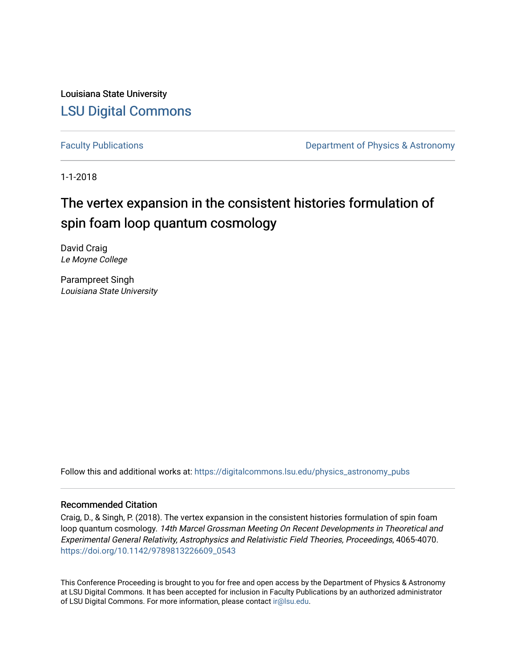Louisiana State University [LSU Digital Commons](https://digitalcommons.lsu.edu/)

[Faculty Publications](https://digitalcommons.lsu.edu/physics_astronomy_pubs) **Exercise 2 and Table 2 and Table 2 and Table 2 and Table 2 and Table 2 and Table 2 and Table 2 and Table 2 and Table 2 and Table 2 and Table 2 and Table 2 and Table 2 and Table 2 and Table 2 and Table** 

1-1-2018

# The vertex expansion in the consistent histories formulation of spin foam loop quantum cosmology

David Craig Le Moyne College

Parampreet Singh Louisiana State University

Follow this and additional works at: [https://digitalcommons.lsu.edu/physics\\_astronomy\\_pubs](https://digitalcommons.lsu.edu/physics_astronomy_pubs?utm_source=digitalcommons.lsu.edu%2Fphysics_astronomy_pubs%2F5041&utm_medium=PDF&utm_campaign=PDFCoverPages) 

# Recommended Citation

Craig, D., & Singh, P. (2018). The vertex expansion in the consistent histories formulation of spin foam loop quantum cosmology. 14th Marcel Grossman Meeting On Recent Developments in Theoretical and Experimental General Relativity, Astrophysics and Relativistic Field Theories, Proceedings, 4065-4070. [https://doi.org/10.1142/9789813226609\\_0543](https://doi.org/10.1142/9789813226609_0543) 

This Conference Proceeding is brought to you for free and open access by the Department of Physics & Astronomy at LSU Digital Commons. It has been accepted for inclusion in Faculty Publications by an authorized administrator of LSU Digital Commons. For more information, please contact [ir@lsu.edu](mailto:ir@lsu.edu).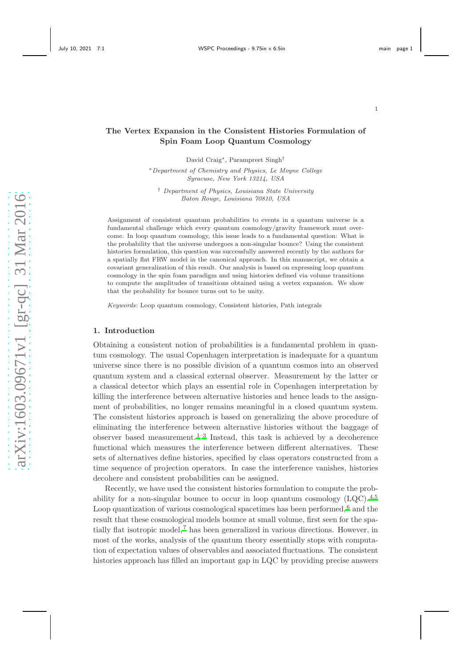# The Vertex Expansion in the Consistent Histories Formulation of Spin Foam Loop Quantum Cosmology

David Craig∗, Parampreet Singh† <sup>∗</sup>Department of Chemistry and Physics, Le Moyne College Syracuse, New York 13214, USA

† Department of Physics, Louisiana State University Baton Rouge, Louisiana 70810, USA

Assignment of consistent quantum probabilities to events in a quantum universe is a fundamental challenge which every quantum cosmology/gravity framework must overcome. In loop quantum cosmology, this issue leads to a fundamental question: What is the probability that the universe undergoes a non-singular bounce? Using the consistent histories formulation, this question was successfully answered recently by the authors for a spatially flat FRW model in the canonical approach. In this manuscript, we obtain a covariant generalization of this result. Our analysis is based on expressing loop quantum cosmology in the spin foam paradigm and using histories defined via volume transitions to compute the amplitudes of transitions obtained using a vertex expansion. We show that the probability for bounce turns out to be unity.

Keywords: Loop quantum cosmology, Consistent histories, Path integrals

#### 1. Introduction

Obtaining a consistent notion of probabilities is a fundamental problem in quantum cosmology. The usual Copenhagen interpretation is inadequate for a quantum universe since there is no possible division of a quantum cosmos into an observed quantum system and a classical external observer. Measurement by the latter or a classical detector which plays an essential role in Copenhagen interpretation by killing the interference between alternative histories and hence leads to the assignment of probabilities, no longer remains meaningful in a closed quantum system. The consistent histories approach is based on generalizing the above procedure of eliminating the interference between alternative histories without the baggage of observer based measurement.<sup>[1](#page-6-0)[–3](#page-6-1)</sup> Instead, this task is achieved by a decoherence functional which measures the interference between different alternatives. These sets of alternatives define histories, specified by class operators constructed from a time sequence of projection operators. In case the interference vanishes, histories decohere and consistent probabilities can be assigned.

Recently, we have used the consistent histories formulation to compute the probability for a non-singular bounce to occur in loop quantum cosmology  $(LQC)$ .<sup>[4](#page-6-2)[,5](#page-6-3)</sup> Loop quantization of various cosmological spacetimes has been performed,<sup>[6](#page-6-4)</sup> and the result that these cosmological models bounce at small volume, first seen for the spatially flat isotropic model,[7](#page-6-5) has been generalized in various directions. However, in most of the works, analysis of the quantum theory essentially stops with computation of expectation values of observables and associated fluctuations. The consistent histories approach has filled an important gap in LQC by providing precise answers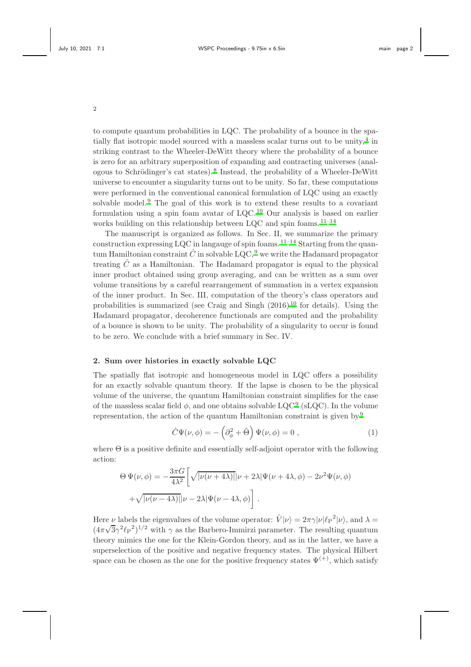to compute quantum probabilities in LQC. The probability of a bounce in the spatially flat isotropic model sourced with a massless scalar turns out to be unity,  $4$  in striking contrast to the Wheeler-DeWitt theory where the probability of a bounce is zero for an arbitrary superposition of expanding and contracting universes (anal-ogous to Schrödinger's cat states).<sup>[8](#page-6-6)</sup> Instead, the probability of a Wheeler-DeWitt universe to encounter a singularity turns out to be unity. So far, these computations were performed in the conventional canonical formulation of LQC using an exactly solvable model.<sup>[9](#page-6-7)</sup> The goal of this work is to extend these results to a covariant formulation using a spin foam avatar of LQC.[10](#page-6-8) Our analysis is based on earlier works building on this relationship between  $LQC$  and spin foams.  $11-14$  $11-14$ 

The manuscript is organized as follows. In Sec. II, we summarize the primary construction expressing LQC in langauge of spin foams.<sup>[11](#page-6-9)[–14](#page-6-10)</sup> Starting from the quantum Hamiltonian constraint  $\hat{C}$  in solvable LQC, <sup>[9](#page-6-7)</sup> we write the Hadamard propagator treating  $\hat{C}$  as a Hamiltonian. The Hadamard propagator is equal to the physical inner product obtained using group averaging, and can be written as a sum over volume transitions by a careful rearrangement of summation in a vertex expansion of the inner product. In Sec. III, computation of the theory's class operators and probabilities is summarized (see Craig and Singh  $(2016)^{10}$  $(2016)^{10}$  $(2016)^{10}$  for details). Using the Hadamard propagator, decoherence functionals are computed and the probability of a bounce is shown to be unity. The probability of a singularity to occur is found to be zero. We conclude with a brief summary in Sec. IV.

## 2. Sum over histories in exactly solvable LQC

The spatially flat isotropic and homogeneous model in LQC offers a possibility for an exactly solvable quantum theory. If the lapse is chosen to be the physical volume of the universe, the quantum Hamiltonian constraint simplifies for the case of the massless scalar field  $\phi$ , and one obtains solvable LQC<sup>[9](#page-6-7)</sup> (sLQC). In the volume representation, the action of the quantum Hamiltonian constraint is given by  $9$ 

$$
\hat{C}\Psi(\nu,\phi) = -\left(\partial_{\phi}^{2} + \hat{\Theta}\right)\Psi(\nu,\phi) = 0 , \qquad (1)
$$

where  $\Theta$  is a positive definite and essentially self-adjoint operator with the following action:

$$
\Theta \Psi(\nu,\phi) = -\frac{3\pi G}{4\lambda^2} \left[ \sqrt{|\nu(\nu+4\lambda)|} |\nu+2\lambda| \Psi(\nu+4\lambda,\phi) - 2\nu^2 \Psi(\nu,\phi) + \sqrt{|\nu(\nu-4\lambda)|} |\nu-2\lambda| \Psi(\nu-4\lambda,\phi) \right].
$$

Here  $\nu$  labels the eigenvalues of the volume operator:  $\hat{V}|\nu\rangle = 2\pi \gamma |\nu| \ell_P^{-2} |\nu\rangle$ , and  $\lambda =$  $(4\pi\sqrt{3}\gamma^2\ell_P^2)^{1/2}$  with  $\gamma$  as the Barbero-Immirzi parameter. The resulting quantum theory mimics the one for the Klein-Gordon theory, and as in the latter, we have a superselection of the positive and negative frequency states. The physical Hilbert space can be chosen as the one for the positive frequency states  $\Psi^{(+)}$ , which satisfy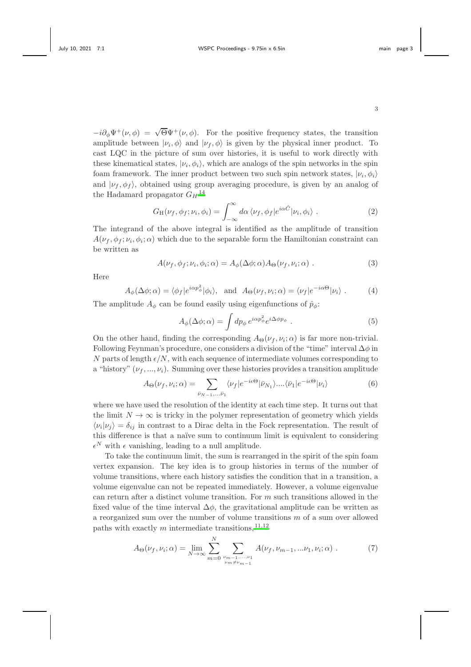$-i\partial_{\phi}\Psi^{+}(\nu,\phi) = \sqrt{\Theta}\Psi^{+}(\nu,\phi)$ . For the positive frequency states, the transition amplitude between  $|\nu_i, \phi\rangle$  and  $|\nu_f, \phi\rangle$  is given by the physical inner product. To cast LQC in the picture of sum over histories, it is useful to work directly with these kinematical states,  $|\nu_i, \phi_i\rangle$ , which are analogs of the spin networks in the spin foam framework. The inner product between two such spin network states,  $|\nu_i, \phi_i\rangle$ and  $|\nu_f, \phi_f\rangle$ , obtained using group averaging procedure, is given by an analog of the Hadamard propagator  $G_H$ <sup>[14](#page-6-10)</sup>

$$
G_H(\nu_f, \phi_f; \nu_i, \phi_i) = \int_{-\infty}^{\infty} d\alpha \, \langle \nu_f, \phi_f | e^{i\alpha \hat{C}} | \nu_i, \phi_i \rangle \,. \tag{2}
$$

The integrand of the above integral is identified as the amplitude of transition  $A(\nu_f, \phi_f; \nu_i, \phi_i; \alpha)$  which due to the separable form the Hamiltonian constraint can be written as

$$
A(\nu_f, \phi_f; \nu_i, \phi_i; \alpha) = A_{\phi}(\Delta \phi; \alpha) A_{\Theta}(\nu_f, \nu_i; \alpha) . \tag{3}
$$

Here

$$
A_{\phi}(\Delta \phi; \alpha) = \langle \phi_f | e^{i\alpha p_{\phi}^2} | \phi_i \rangle, \text{ and } A_{\Theta}(\nu_f, \nu_i; \alpha) = \langle \nu_f | e^{-i\alpha \Theta} | \nu_i \rangle. \tag{4}
$$

The amplitude  $A_{\phi}$  can be found easily using eigenfunctions of  $\hat{p}_{\phi}$ :

$$
A_{\phi}(\Delta \phi; \alpha) = \int dp_{\phi} e^{i\alpha p_{\phi}^{2}} e^{i\Delta \phi p_{\phi}}.
$$
 (5)

On the other hand, finding the corresponding  $A_{\Theta}(\nu_f, \nu_i; \alpha)$  is far more non-trivial. Following Feynman's procedure, one considers a division of the "time" interval  $\Delta\phi$  in N parts of length  $\epsilon/N$ , with each sequence of intermediate volumes corresponding to a "history"  $(\nu_f, ..., \nu_i)$ . Summing over these histories provides a transition amplitude

$$
A_{\Theta}(\nu_f, \nu_i; \alpha) = \sum_{\bar{\nu}_N = 1, \dots, \bar{\nu}_1} \langle \nu_f | e^{-i\epsilon \Theta} | \bar{\nu}_N \rangle \dots \langle \bar{\nu}_1 | e^{-i\epsilon \Theta} | \nu_i \rangle \tag{6}
$$

where we have used the resolution of the identity at each time step. It turns out that the limit  $N \to \infty$  is tricky in the polymer representation of geometry which yields  $\langle \nu_i | \nu_j \rangle = \delta_{ij}$  in contrast to a Dirac delta in the Fock representation. The result of this difference is that a naïve sum to continuum limit is equivalent to considering  $\epsilon^N$  with  $\epsilon$  vanishing, leading to a null amplitude.

To take the continuum limit, the sum is rearranged in the spirit of the spin foam vertex expansion. The key idea is to group histories in terms of the number of volume transitions, where each history satisfies the condition that in a transition, a volume eigenvalue can not be repeated immediately. However, a volume eigenvalue can return after a distinct volume transition. For  $m$  such transitions allowed in the fixed value of the time interval  $\Delta \phi$ , the gravitational amplitude can be written as a reorganized sum over the number of volume transitions m of a sum over allowed paths with exactly  $m$  intermediate transitions,  $^{11,12}$  $^{11,12}$  $^{11,12}$  $^{11,12}$ 

<span id="page-3-0"></span>
$$
A_{\Theta}(\nu_f, \nu_i; \alpha) = \lim_{N \to \infty} \sum_{m=0}^{N} \sum_{\nu_{m-1}, \dots, \nu_1 \atop \nu_m \neq \nu_{m-1}} A(\nu_f, \nu_{m-1}, \dots \nu_1, \nu_i; \alpha) . \tag{7}
$$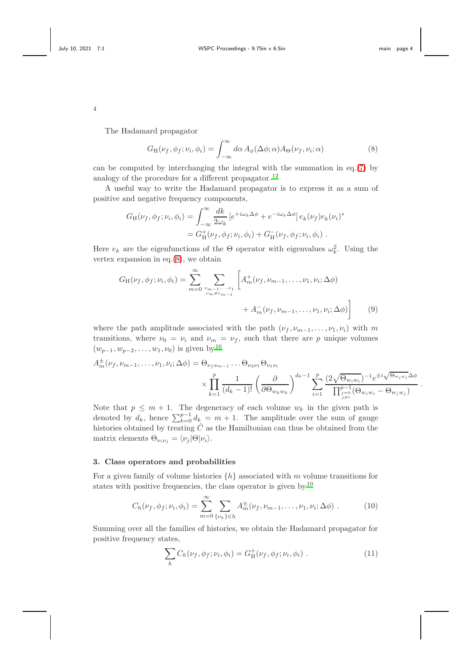.

4

The Hadamard propagator

<span id="page-4-0"></span>
$$
G_{\mathrm{H}}(\nu_f, \phi_f; \nu_i, \phi_i) = \int_{-\infty}^{\infty} d\alpha \, A_{\phi}(\Delta \phi; \alpha) A_{\Theta}(\nu_f, \nu_i; \alpha) \tag{8}
$$

can be computed by interchanging the integral with the summation in eq.[\(7\)](#page-3-0) by analogy of the procedure for a different propagator.<sup>[12](#page-6-11)</sup>

A useful way to write the Hadamard propagator is to express it as a sum of positive and negative frequency components,

$$
G_{\mathrm{H}}(\nu_f, \phi_f; \nu_i, \phi_i) = \int_{-\infty}^{\infty} \frac{dk}{2\omega_k} \left[ e^{+i\omega_k \Delta \phi} + e^{-i\omega_k \Delta \phi} \right] e_k(\nu_f) e_k(\nu_i)^*
$$

$$
= G_{\mathrm{H}}^+(\nu_f, \phi_f; \nu_i, \phi_i) + G_{\mathrm{H}}^-(\nu_f, \phi_f; \nu_i, \phi_i) .
$$

Here  $e_k$  are the eigenfunctions of the  $\Theta$  operator with eigenvalues  $\omega_k^2$ . Using the vertex expansion in eq. $(8)$ , we obtain

$$
G_{\rm H}(\nu_f, \phi_f; \nu_i, \phi_i) = \sum_{m=0}^{\infty} \sum_{\substack{\nu_{m-1}, \dots, \nu_1 \\ \nu_m \neq \nu_{m-1}}} \left[ A_m^+(\nu_f, \nu_{m-1}, \dots, \nu_1, \nu_i; \Delta \phi) + A_m^-(\nu_f, \nu_{m-1}, \dots, \nu_1, \nu_i; \Delta \phi) \right]
$$
(9)

where the path amplitude associated with the path  $(\nu_f, \nu_{m-1}, \ldots, \nu_1, \nu_i)$  with m transitions, where  $\nu_0 = \nu_i$  and  $\nu_m = \nu_f$ , such that there are p unique volumes  $(w_{p-1}, w_{p-2}, \ldots, w_1, \nu_0)$  is given by<sup>[10](#page-6-8)</sup>

$$
A_m^{\pm}(\nu_f, \nu_{m-1}, \dots, \nu_1, \nu_i; \Delta \phi) = \Theta_{\nu_f \nu_{m-1}} \dots \Theta_{\nu_2 \nu_1} \Theta_{\nu_1 \nu_i}
$$
  
 
$$
\times \prod_{k=1}^p \frac{1}{(d_k - 1)!} \left(\frac{\partial}{\partial \Theta_{w_k w_k}}\right)^{d_k - 1} \sum_{i=1}^p \frac{(2\sqrt{\Theta_{w_i w_i}})^{-1} e^{\pm i \sqrt{\Theta_{w_i w_i}} \Delta \phi}}{\prod_{\substack{j=0 \ j \neq i}}^{p-1} (\Theta_{w_i w_i} - \Theta_{w_j w_j})}
$$

Note that  $p \leq m + 1$ . The degeneracy of each volume  $w_k$  in the given path is denoted by  $d_k$ , hence  $\sum_{k=0}^{p-1} d_k = m + 1$ . The amplitude over the sum of gauge histories obtained by treating  $\hat{C}$  as the Hamiltonian can thus be obtained from the matrix elements  $\Theta_{\nu_i \nu_j} = \langle \nu_j | \Theta | \nu_i \rangle$ .

## 3. Class operators and probabilities

For a given family of volume histories  $\{h\}$  associated with m volume transitions for states with positive frequencies, the class operator is given by  $10$ 

$$
C_h(\nu_f, \phi_f; \nu_i, \phi_i) = \sum_{m=0}^{\infty} \sum_{\{\nu_k\} \in h} A_m^{\pm}(\nu_f, \nu_{m-1}, \dots, \nu_1, \nu_i; \Delta \phi) . \tag{10}
$$

Summing over all the families of histories, we obtain the Hadamard propagator for positive frequency states,

$$
\sum_{h} C_{h}(\nu_{f}, \phi_{f}; \nu_{i}, \phi_{i}) = G_{H}^{+}(\nu_{f}, \phi_{f}; \nu_{i}, \phi_{i}) . \qquad (11)
$$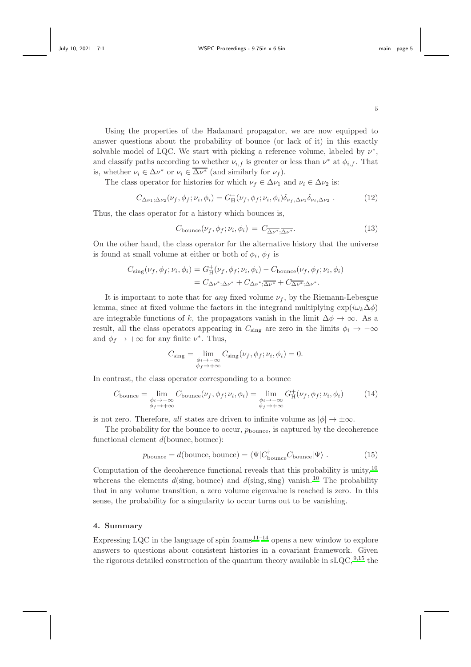Using the properties of the Hadamard propagator, we are now equipped to answer questions about the probability of bounce (or lack of it) in this exactly solvable model of LQC. We start with picking a reference volume, labeled by  $\nu^*$ , and classify paths according to whether  $\nu_{i,f}$  is greater or less than  $\nu^*$  at  $\phi_{i,f}$ . That is, whether  $\nu_i \in \Delta \nu^*$  or  $\nu_i \in \overline{\Delta \nu^*}$  (and similarly for  $\nu_f$ ).

The class operator for histories for which  $\nu_f \in \Delta \nu_1$  and  $\nu_i \in \Delta \nu_2$  is:

$$
C_{\Delta\nu_1;\Delta\nu_2}(\nu_f,\phi_f;\nu_i,\phi_i) = G_H^+(\nu_f,\phi_f;\nu_i,\phi_i)\delta_{\nu_f,\Delta\nu_1}\delta_{\nu_i,\Delta\nu_2} . \tag{12}
$$

Thus, the class operator for a history which bounces is,

$$
C_{\text{bounce}}(\nu_f, \phi_f; \nu_i, \phi_i) = C_{\overline{\Delta \nu^*}; \overline{\Delta \nu^*}}.
$$
\n(13)

On the other hand, the class operator for the alternative history that the universe is found at small volume at either or both of  $\phi_i$ ,  $\phi_f$  is

$$
C_{\text{sing}}(\nu_f, \phi_f; \nu_i, \phi_i) = G_{\text{H}}^+(\nu_f, \phi_f; \nu_i, \phi_i) - C_{\text{bounce}}(\nu_f, \phi_f; \nu_i, \phi_i)
$$
  
=  $C_{\Delta \nu^*; \Delta \nu^*} + C_{\Delta \nu^*; \Delta \nu^*} + C_{\Delta \nu^*; \Delta \nu^*}.$ 

It is important to note that for any fixed volume  $\nu_f$ , by the Riemann-Lebesgue lemma, since at fixed volume the factors in the integrand multiplying  $\exp(i\omega_k\Delta\phi)$ are integrable functions of k, the propagators vanish in the limit  $\Delta \phi \to \infty$ . As a result, all the class operators appearing in  $C_{\text{sing}}$  are zero in the limits  $\phi_i \to -\infty$ and  $\phi_f \to +\infty$  for any finite  $\nu^*$ . Thus,

$$
C_{\text{sing}} = \lim_{\substack{\phi_i \to -\infty \\ \phi_f \to +\infty}} C_{\text{sing}}(\nu_f, \phi_f; \nu_i, \phi_i) = 0.
$$

In contrast, the class operator corresponding to a bounce

$$
C_{\text{bounce}} = \lim_{\substack{\phi_i \to -\infty \\ \phi_f \to +\infty}} C_{\text{bounce}}(\nu_f, \phi_f; \nu_i, \phi_i) = \lim_{\substack{\phi_i \to -\infty \\ \phi_f \to +\infty}} G_H^+(\nu_f, \phi_f; \nu_i, \phi_i)
$$
(14)

is not zero. Therefore, all states are driven to infinite volume as  $|\phi| \to \pm \infty$ .

The probability for the bounce to occur,  $p_{\text{bounce}}$ , is captured by the decoherence functional element d(bounce, bounce):

$$
p_{\text{bounce}} = d(\text{bounce}, \text{bounce}) = \langle \Psi | C_{\text{bounce}}^{\dagger} C_{\text{bounce}} | \Psi \rangle . \tag{15}
$$

Computation of the decoherence functional reveals that this probability is unity,  $10$ whereas the elements  $d(\text{sing}, \text{bounce})$  and  $d(\text{sing}, \text{sing})$  vanish.<sup>[10](#page-6-8)</sup> The probability that in any volume transition, a zero volume eigenvalue is reached is zero. In this sense, the probability for a singularity to occur turns out to be vanishing.

## 4. Summary

Expressing LQC in the language of spin foams  $1^{1-14}$  opens a new window to explore answers to questions about consistent histories in a covariant framework. Given the rigorous detailed construction of the quantum theory available in  $sLQC$ ,  $9,15$  $9,15$  the